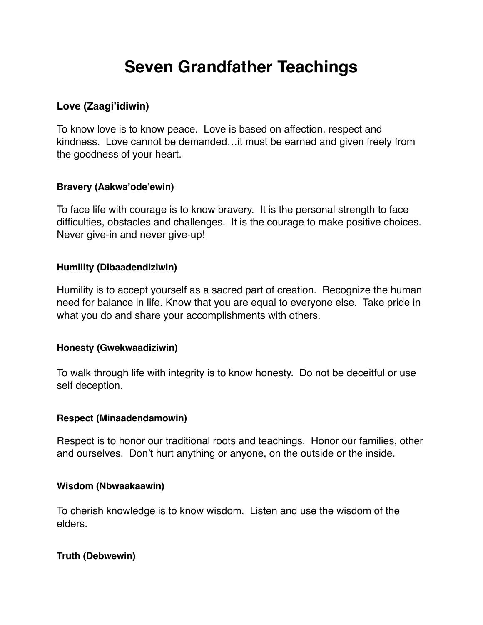# **Seven Grandfather Teachings**

## **Love (Zaagi'idiwin)**

To know love is to know peace. Love is based on affection, respect and kindness. Love cannot be demanded…it must be earned and given freely from the goodness of your heart.

#### **Bravery (Aakwa'ode'ewin)**

To face life with courage is to know bravery. It is the personal strength to face difficulties, obstacles and challenges. It is the courage to make positive choices. Never give-in and never give-up!

## **Humility (Dibaadendiziwin)**

Humility is to accept yourself as a sacred part of creation. Recognize the human need for balance in life. Know that you are equal to everyone else. Take pride in what you do and share your accomplishments with others.

## **Honesty (Gwekwaadiziwin)**

To walk through life with integrity is to know honesty. Do not be deceitful or use self deception.

#### **Respect (Minaadendamowin)**

Respect is to honor our traditional roots and teachings. Honor our families, other and ourselves. Don't hurt anything or anyone, on the outside or the inside.

#### **Wisdom (Nbwaakaawin)**

To cherish knowledge is to know wisdom. Listen and use the wisdom of the elders.

## **Truth (Debwewin)**